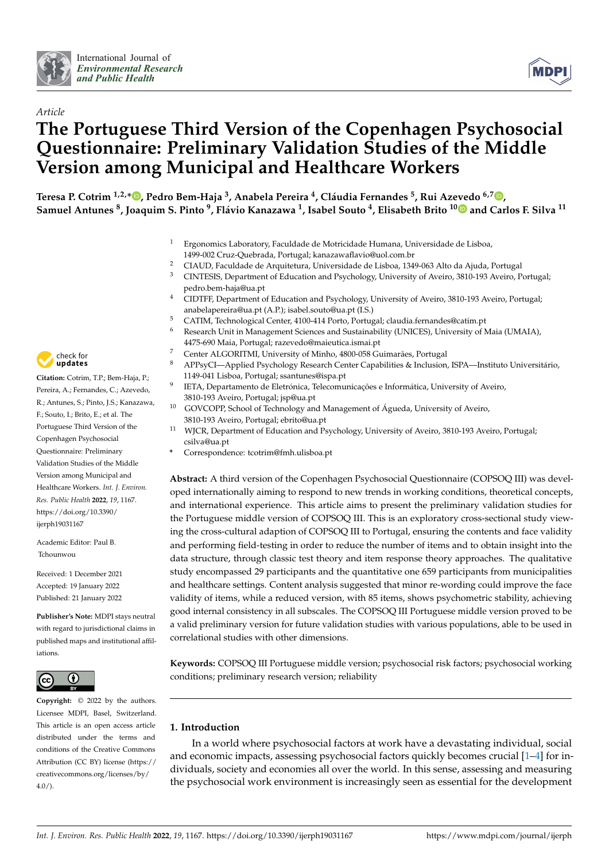



# *Article* **The Portuguese Third Version of the Copenhagen Psychosocial Questionnaire: Preliminary Validation Studies of the Middle Version among Municipal and Healthcare Workers**

**Teresa P. Cotrim 1,2,\* [,](https://orcid.org/0000-0003-2950-5208) Pedro Bem-Haja <sup>3</sup> , Anabela Pereira <sup>4</sup> , Cláudia Fernandes <sup>5</sup> , Rui Azevedo 6,7 [,](https://orcid.org/0000-0001-8773-3757) Samuel Antunes <sup>8</sup> , Joaquim S. Pinto <sup>9</sup> , Flávio Kanazawa <sup>1</sup> , Isabel Souto <sup>4</sup> , Elisabeth Brito 1[0](https://orcid.org/0000-0001-5504-4332) and Carlos F. Silva <sup>11</sup>**

- <sup>1</sup> Ergonomics Laboratory, Faculdade de Motricidade Humana, Universidade de Lisboa, 1499-002 Cruz-Quebrada, Portugal; kanazawaflavio@uol.com.br
- <sup>2</sup> CIAUD, Faculdade de Arquitetura, Universidade de Lisboa, 1349-063 Alto da Ajuda, Portugal  $\frac{3}{2}$  CINTESIS, Department of Education and Psychology University of Aveiro, 2810-193 Aveiro, P
- <sup>3</sup> CINTESIS, Department of Education and Psychology, University of Aveiro, 3810-193 Aveiro, Portugal; pedro.bem-haja@ua.pt
- <sup>4</sup> CIDTFF, Department of Education and Psychology, University of Aveiro, 3810-193 Aveiro, Portugal; anabelapereira@ua.pt (A.P.); isabel.souto@ua.pt (I.S.)
- <sup>5</sup> CATIM, Technological Center, 4100-414 Porto, Portugal; claudia.fernandes@catim.pt
	- <sup>6</sup> Research Unit in Management Sciences and Sustainability (UNICES), University of Maia (UMAIA), 4475-690 Maia, Portugal; razevedo@maieutica.ismai.pt
- <sup>7</sup> Center ALGORITMI, University of Minho, 4800-058 Guimarães, Portugal
- <sup>8</sup> APPsyCI—Applied Psychology Research Center Capabilities & Inclusion, ISPA—Instituto Universitário, 1149-041 Lisboa, Portugal; ssantunes@ispa.pt
- 9 IETA, Departamento de Eletrónica, Telecomunicações e Informática, University of Aveiro, 3810-193 Aveiro, Portugal; jsp@ua.pt
- <sup>10</sup> GOVCOPP, School of Technology and Management of Águeda, University of Aveiro, 3810-193 Aveiro, Portugal; ebrito@ua.pt
- <sup>11</sup> WJCR, Department of Education and Psychology, University of Aveiro, 3810-193 Aveiro, Portugal; csilva@ua.pt
- **\*** Correspondence: tcotrim@fmh.ulisboa.pt

**Abstract:** A third version of the Copenhagen Psychosocial Questionnaire (COPSOQ III) was developed internationally aiming to respond to new trends in working conditions, theoretical concepts, and international experience. This article aims to present the preliminary validation studies for the Portuguese middle version of COPSOQ III. This is an exploratory cross-sectional study viewing the cross-cultural adaption of COPSOQ III to Portugal, ensuring the contents and face validity and performing field-testing in order to reduce the number of items and to obtain insight into the data structure, through classic test theory and item response theory approaches. The qualitative study encompassed 29 participants and the quantitative one 659 participants from municipalities and healthcare settings. Content analysis suggested that minor re-wording could improve the face validity of items, while a reduced version, with 85 items, shows psychometric stability, achieving good internal consistency in all subscales. The COPSOQ III Portuguese middle version proved to be a valid preliminary version for future validation studies with various populations, able to be used in correlational studies with other dimensions.

**Keywords:** COPSOQ III Portuguese middle version; psychosocial risk factors; psychosocial working conditions; preliminary research version; reliability

# **1. Introduction**

In a world where psychosocial factors at work have a devastating individual, social and economic impacts, assessing psychosocial factors quickly becomes crucial [\[1](#page-12-0)[–4\]](#page-12-1) for individuals, society and economies all over the world. In this sense, assessing and measuring the psychosocial work environment is increasingly seen as essential for the development



**Citation:** Cotrim, T.P.; Bem-Haja, P.; Pereira, A.; Fernandes, C.; Azevedo, R.; Antunes, S.; Pinto, J.S.; Kanazawa, F.; Souto, I.; Brito, E.; et al. The Portuguese Third Version of the Copenhagen Psychosocial Questionnaire: Preliminary Validation Studies of the Middle Version among Municipal and Healthcare Workers. *Int. J. Environ. Res. Public Health* **2022**, *19*, 1167. [https://doi.org/10.3390/](https://doi.org/10.3390/ijerph19031167) [ijerph19031167](https://doi.org/10.3390/ijerph19031167)

Academic Editor: Paul B. Tchounwou

Received: 1 December 2021 Accepted: 19 January 2022 Published: 21 January 2022

**Publisher's Note:** MDPI stays neutral with regard to jurisdictional claims in published maps and institutional affiliations.



**Copyright:** © 2022 by the authors. Licensee MDPI, Basel, Switzerland. This article is an open access article distributed under the terms and conditions of the Creative Commons Attribution (CC BY) license [\(https://](https://creativecommons.org/licenses/by/4.0/) [creativecommons.org/licenses/by/](https://creativecommons.org/licenses/by/4.0/)  $4.0/$ ).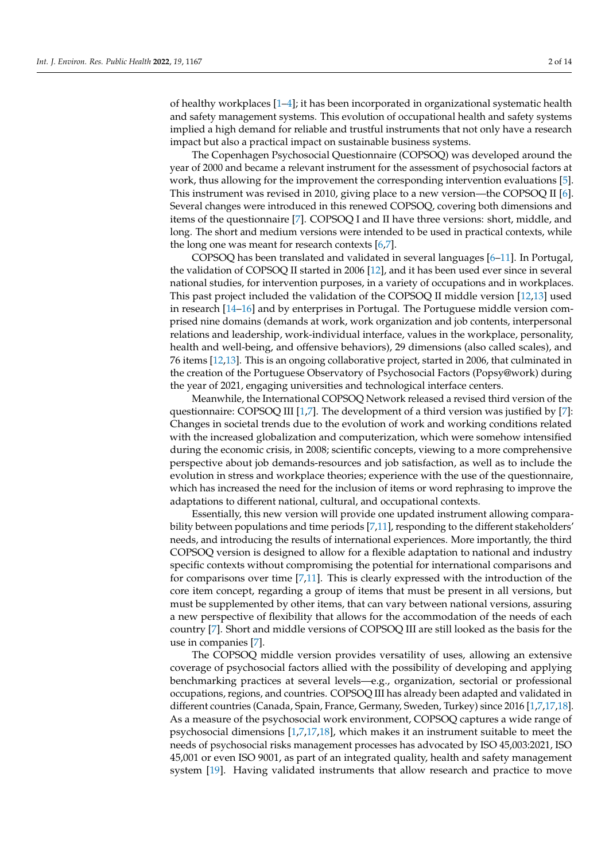of healthy workplaces [\[1–](#page-12-0)[4\]](#page-12-1); it has been incorporated in organizational systematic health and safety management systems. This evolution of occupational health and safety systems implied a high demand for reliable and trustful instruments that not only have a research impact but also a practical impact on sustainable business systems.

The Copenhagen Psychosocial Questionnaire (COPSOQ) was developed around the year of 2000 and became a relevant instrument for the assessment of psychosocial factors at work, thus allowing for the improvement the corresponding intervention evaluations [\[5\]](#page-12-2). This instrument was revised in 2010, giving place to a new version—the COPSOQ II [\[6\]](#page-12-3). Several changes were introduced in this renewed COPSOQ, covering both dimensions and items of the questionnaire [\[7\]](#page-12-4). COPSOQ I and II have three versions: short, middle, and long. The short and medium versions were intended to be used in practical contexts, while the long one was meant for research contexts [\[6,](#page-12-3)[7\]](#page-12-4).

COPSOQ has been translated and validated in several languages [\[6](#page-12-3)[–11\]](#page-12-5). In Portugal, the validation of COPSOQ II started in 2006 [\[12\]](#page-12-6), and it has been used ever since in several national studies, for intervention purposes, in a variety of occupations and in workplaces. This past project included the validation of the COPSOQ II middle version [\[12,](#page-12-6)[13\]](#page-12-7) used in research [\[14](#page-12-8)[–16\]](#page-12-9) and by enterprises in Portugal. The Portuguese middle version comprised nine domains (demands at work, work organization and job contents, interpersonal relations and leadership, work-individual interface, values in the workplace, personality, health and well-being, and offensive behaviors), 29 dimensions (also called scales), and 76 items [\[12](#page-12-6)[,13\]](#page-12-7). This is an ongoing collaborative project, started in 2006, that culminated in the creation of the Portuguese Observatory of Psychosocial Factors (Popsy@work) during the year of 2021, engaging universities and technological interface centers.

Meanwhile, the International COPSOQ Network released a revised third version of the questionnaire: COPSOQ III [\[1,](#page-12-0)[7\]](#page-12-4). The development of a third version was justified by [\[7\]](#page-12-4): Changes in societal trends due to the evolution of work and working conditions related with the increased globalization and computerization, which were somehow intensified during the economic crisis, in 2008; scientific concepts, viewing to a more comprehensive perspective about job demands-resources and job satisfaction, as well as to include the evolution in stress and workplace theories; experience with the use of the questionnaire, which has increased the need for the inclusion of items or word rephrasing to improve the adaptations to different national, cultural, and occupational contexts.

Essentially, this new version will provide one updated instrument allowing compara-bility between populations and time periods [\[7,](#page-12-4)[11\]](#page-12-5), responding to the different stakeholders' needs, and introducing the results of international experiences. More importantly, the third COPSOQ version is designed to allow for a flexible adaptation to national and industry specific contexts without compromising the potential for international comparisons and for comparisons over time [\[7,](#page-12-4)[11\]](#page-12-5). This is clearly expressed with the introduction of the core item concept, regarding a group of items that must be present in all versions, but must be supplemented by other items, that can vary between national versions, assuring a new perspective of flexibility that allows for the accommodation of the needs of each country [\[7\]](#page-12-4). Short and middle versions of COPSOQ III are still looked as the basis for the use in companies [\[7\]](#page-12-4).

The COPSOQ middle version provides versatility of uses, allowing an extensive coverage of psychosocial factors allied with the possibility of developing and applying benchmarking practices at several levels—e.g., organization, sectorial or professional occupations, regions, and countries. COPSOQ III has already been adapted and validated in different countries (Canada, Spain, France, Germany, Sweden, Turkey) since 2016 [\[1,](#page-12-0)[7,](#page-12-4)[17](#page-12-10)[,18\]](#page-12-11). As a measure of the psychosocial work environment, COPSOQ captures a wide range of psychosocial dimensions [\[1](#page-12-0)[,7](#page-12-4)[,17](#page-12-10)[,18\]](#page-12-11), which makes it an instrument suitable to meet the needs of psychosocial risks management processes has advocated by ISO 45,003:2021, ISO 45,001 or even ISO 9001, as part of an integrated quality, health and safety management system [\[19\]](#page-12-12). Having validated instruments that allow research and practice to move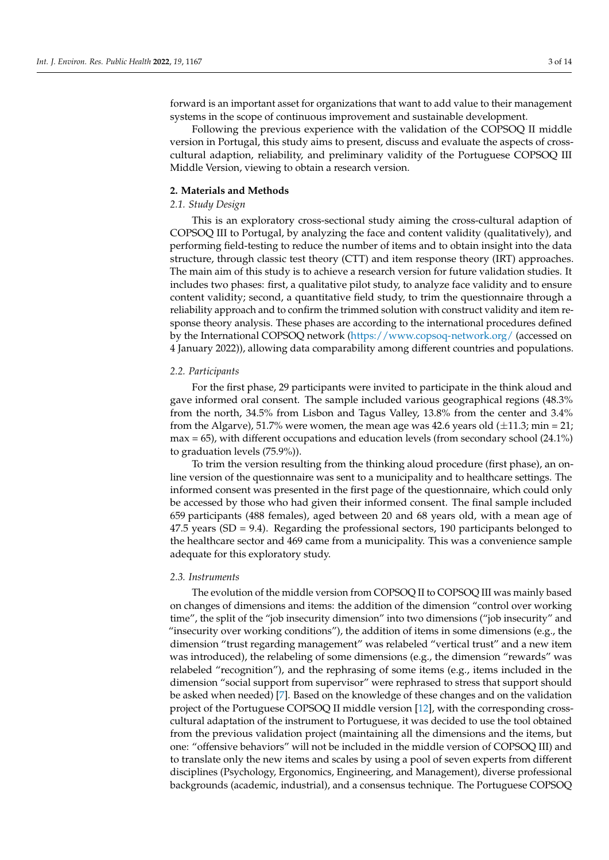forward is an important asset for organizations that want to add value to their management systems in the scope of continuous improvement and sustainable development.

Following the previous experience with the validation of the COPSOQ II middle version in Portugal, this study aims to present, discuss and evaluate the aspects of crosscultural adaption, reliability, and preliminary validity of the Portuguese COPSOQ III Middle Version, viewing to obtain a research version.

#### **2. Materials and Methods**

### *2.1. Study Design*

This is an exploratory cross-sectional study aiming the cross-cultural adaption of COPSOQ III to Portugal, by analyzing the face and content validity (qualitatively), and performing field-testing to reduce the number of items and to obtain insight into the data structure, through classic test theory (CTT) and item response theory (IRT) approaches. The main aim of this study is to achieve a research version for future validation studies. It includes two phases: first, a qualitative pilot study, to analyze face validity and to ensure content validity; second, a quantitative field study, to trim the questionnaire through a reliability approach and to confirm the trimmed solution with construct validity and item response theory analysis. These phases are according to the international procedures defined by the International COPSOQ network [\(https://www.copsoq-network.org/](https://www.copsoq-network.org/) (accessed on 4 January 2022)), allowing data comparability among different countries and populations.

#### *2.2. Participants*

For the first phase, 29 participants were invited to participate in the think aloud and gave informed oral consent. The sample included various geographical regions (48.3% from the north, 34.5% from Lisbon and Tagus Valley, 13.8% from the center and 3.4% from the Algarve), 51.7% were women, the mean age was 42.6 years old  $(\pm 11.3; \text{min} = 21;$  $max = 65$ , with different occupations and education levels (from secondary school  $(24.1\%)$ to graduation levels (75.9%)).

To trim the version resulting from the thinking aloud procedure (first phase), an online version of the questionnaire was sent to a municipality and to healthcare settings. The informed consent was presented in the first page of the questionnaire, which could only be accessed by those who had given their informed consent. The final sample included 659 participants (488 females), aged between 20 and 68 years old, with a mean age of 47.5 years (SD = 9.4). Regarding the professional sectors, 190 participants belonged to the healthcare sector and 469 came from a municipality. This was a convenience sample adequate for this exploratory study.

## *2.3. Instruments*

The evolution of the middle version from COPSOQ II to COPSOQ III was mainly based on changes of dimensions and items: the addition of the dimension "control over working time", the split of the "job insecurity dimension" into two dimensions ("job insecurity" and "insecurity over working conditions"), the addition of items in some dimensions (e.g., the dimension "trust regarding management" was relabeled "vertical trust" and a new item was introduced), the relabeling of some dimensions (e.g., the dimension "rewards" was relabeled "recognition"), and the rephrasing of some items (e.g., items included in the dimension "social support from supervisor" were rephrased to stress that support should be asked when needed) [\[7\]](#page-12-4). Based on the knowledge of these changes and on the validation project of the Portuguese COPSOQ II middle version [\[12\]](#page-12-6), with the corresponding crosscultural adaptation of the instrument to Portuguese, it was decided to use the tool obtained from the previous validation project (maintaining all the dimensions and the items, but one: "offensive behaviors" will not be included in the middle version of COPSOQ III) and to translate only the new items and scales by using a pool of seven experts from different disciplines (Psychology, Ergonomics, Engineering, and Management), diverse professional backgrounds (academic, industrial), and a consensus technique. The Portuguese COPSOQ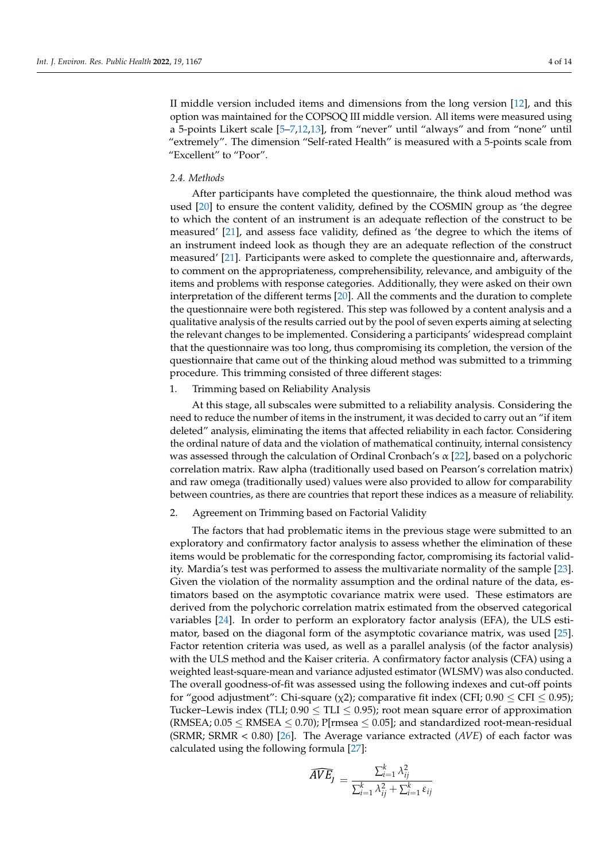II middle version included items and dimensions from the long version [\[12\]](#page-12-6), and this option was maintained for the COPSOQ III middle version. All items were measured using a 5-points Likert scale [\[5–](#page-12-2)[7,](#page-12-4)[12,](#page-12-6)[13\]](#page-12-7), from "never" until "always" and from "none" until "extremely". The dimension "Self-rated Health" is measured with a 5-points scale from "Excellent" to "Poor".

# *2.4. Methods*

After participants have completed the questionnaire, the think aloud method was used [\[20\]](#page-12-13) to ensure the content validity, defined by the COSMIN group as 'the degree to which the content of an instrument is an adequate reflection of the construct to be measured' [\[21\]](#page-12-14), and assess face validity, defined as 'the degree to which the items of an instrument indeed look as though they are an adequate reflection of the construct measured' [\[21\]](#page-12-14). Participants were asked to complete the questionnaire and, afterwards, to comment on the appropriateness, comprehensibility, relevance, and ambiguity of the items and problems with response categories. Additionally, they were asked on their own interpretation of the different terms [\[20\]](#page-12-13). All the comments and the duration to complete the questionnaire were both registered. This step was followed by a content analysis and a qualitative analysis of the results carried out by the pool of seven experts aiming at selecting the relevant changes to be implemented. Considering a participants' widespread complaint that the questionnaire was too long, thus compromising its completion, the version of the questionnaire that came out of the thinking aloud method was submitted to a trimming procedure. This trimming consisted of three different stages:

### 1. Trimming based on Reliability Analysis

At this stage, all subscales were submitted to a reliability analysis. Considering the need to reduce the number of items in the instrument, it was decided to carry out an "if item deleted" analysis, eliminating the items that affected reliability in each factor. Considering the ordinal nature of data and the violation of mathematical continuity, internal consistency was assessed through the calculation of Ordinal Cronbach's  $\alpha$  [\[22\]](#page-12-15), based on a polychoric correlation matrix. Raw alpha (traditionally used based on Pearson's correlation matrix) and raw omega (traditionally used) values were also provided to allow for comparability between countries, as there are countries that report these indices as a measure of reliability.

#### 2. Agreement on Trimming based on Factorial Validity

The factors that had problematic items in the previous stage were submitted to an exploratory and confirmatory factor analysis to assess whether the elimination of these items would be problematic for the corresponding factor, compromising its factorial validity. Mardia's test was performed to assess the multivariate normality of the sample [\[23\]](#page-12-16). Given the violation of the normality assumption and the ordinal nature of the data, estimators based on the asymptotic covariance matrix were used. These estimators are derived from the polychoric correlation matrix estimated from the observed categorical variables [\[24\]](#page-13-0). In order to perform an exploratory factor analysis (EFA), the ULS estimator, based on the diagonal form of the asymptotic covariance matrix, was used [\[25\]](#page-13-1). Factor retention criteria was used, as well as a parallel analysis (of the factor analysis) with the ULS method and the Kaiser criteria. A confirmatory factor analysis (CFA) using a weighted least-square-mean and variance adjusted estimator (WLSMV) was also conducted. The overall goodness-of-fit was assessed using the following indexes and cut-off points for "good adjustment": Chi-square ( $\chi$ 2); comparative fit index (CFI;  $0.90 \leq$  CFI  $\leq 0.95$ ); Tucker–Lewis index (TLI;  $0.90 \leq TLI \leq 0.95$ ); root mean square error of approximation (RMSEA;  $0.05 \leq$  RMSEA  $\leq$  0.70); P[rmsea  $\leq$  0.05]; and standardized root-mean-residual ([SRM](#page-13-2)R; SRMR < 0.80) [26]. The Average variance extracted (*AVE*) of each factor was calculated using the followi[ng f](#page-13-3)ormula [27]:

$$
\widehat{AVE}_J \, = \, \frac{\sum_{i=1}^k \lambda_{ij}^2}{\sum_{i=1}^k \lambda_{ij}^2 + \sum_{i=1}^k \varepsilon_{ij}}
$$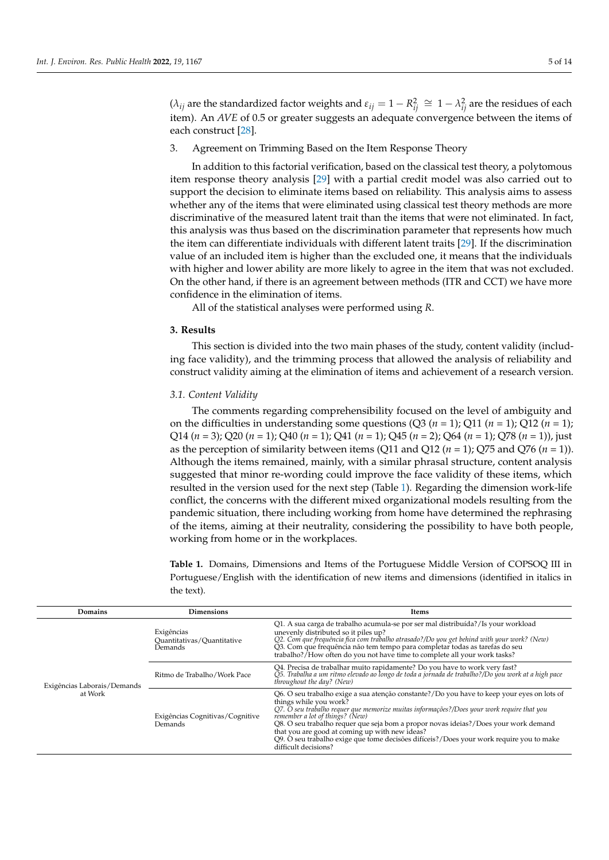$(\lambda_{ij})$  are the standardized factor weights and  $\varepsilon_{ij} = 1 - R_{ij}^2 \cong 1 - \lambda_{ij}^2$  are the residues of each item). An *AVE* of 0.5 or greater suggests an adequate convergence between the items of each construct [\[28\]](#page-13-4).

3. Agreement on Trimming Based on the Item Response Theory

In addition to this factorial verification, based on the classical test theory, a polytomous item response theory analysis [\[29\]](#page-13-5) with a partial credit model was also carried out to support the decision to eliminate items based on reliability. This analysis aims to assess whether any of the items that were eliminated using classical test theory methods are more discriminative of the measured latent trait than the items that were not eliminated. In fact, this analysis was thus based on the discrimination parameter that represents how much the item can differentiate individuals with different latent traits [\[29\]](#page-13-5). If the discrimination value of an included item is higher than the excluded one, it means that the individuals with higher and lower ability are more likely to agree in the item that was not excluded. On the other hand, if there is an agreement between methods (ITR and CCT) we have more confidence in the elimination of items.

All of the statistical analyses were performed using *R*.

## **3. Results**

This section is divided into the two main phases of the study, content validity (including face validity), and the trimming process that allowed the analysis of reliability and construct validity aiming at the elimination of items and achievement of a research version.

# *3.1. Content Validity*

The comments regarding comprehensibility focused on the level of ambiguity and on the difficulties in understanding some questions  $(Q3 (n = 1); Q11 (n = 1); Q12 (n = 1);$ Q14 (*n* = 3); Q20 (*n* = 1); Q40 (*n* = 1); Q41 (*n* = 1); Q45 (*n* = 2); Q64 (*n* = 1); Q78 (*n* = 1)), just as the perception of similarity between items (Q11 and Q12 (*n* = 1); Q75 and Q76 (*n* = 1)). Although the items remained, mainly, with a similar phrasal structure, content analysis suggested that minor re-wording could improve the face validity of these items, which resulted in the version used for the next step (Table [1\)](#page-7-0). Regarding the dimension work-life conflict, the concerns with the different mixed organizational models resulting from the pandemic situation, there including working from home have determined the rephrasing of the items, aiming at their neutrality, considering the possibility to have both people, working from home or in the workplaces.

**Table 1.** Domains, Dimensions and Items of the Portuguese Middle Version of COPSOQ III in Portuguese/English with the identification of new items and dimensions (identified in italics in the text).

| Domains                     | <b>Dimensions</b>                                   | Items                                                                                                                                                                                                                                                                                                                                                                                                                                                                                                             |  |
|-----------------------------|-----------------------------------------------------|-------------------------------------------------------------------------------------------------------------------------------------------------------------------------------------------------------------------------------------------------------------------------------------------------------------------------------------------------------------------------------------------------------------------------------------------------------------------------------------------------------------------|--|
| Exigências Laborais/Demands | Exigências<br>Ouantitativas/Ouantitative<br>Demands | Q1. A sua carga de trabalho acumula-se por ser mal distribuída?/Is your workload<br>unevenly distributed so it piles up?<br>Q2. Com que frequência fica com trabalho atrasado?/Do you get behind with your work? (New)<br>Q3. Com que frequência não tem tempo para completar todas as tarefas do seu<br>trabalho?/How often do you not have time to complete all your work tasks?                                                                                                                                |  |
|                             | Ritmo de Trabalho / Work Pace                       | Q4. Precisa de trabalhar muito rapidamente? Do you have to work very fast?<br>Q5. Trabalha a um ritmo elevado ao longo de toda a jornada de trabalho?/Do you work at a high pace<br>throughout the day? (New)                                                                                                                                                                                                                                                                                                     |  |
| at Work                     | Exigências Cognitivas/Cognitive<br>Demands          | Q6. O seu trabalho exige a sua atenção constante?/Do you have to keep your eyes on lots of<br>things while you work?<br>Q7. O seu trabalho requer que memorize muitas informações?/Does your work require that you<br>remember a lot of things? (New)<br>Q8. O seu trabalho requer que seja bom a propor novas ideias?/Does your work demand<br>that you are good at coming up with new ideas?<br>Q9. O seu trabalho exige que tome decisões difíceis?/Does your work require you to make<br>difficult decisions? |  |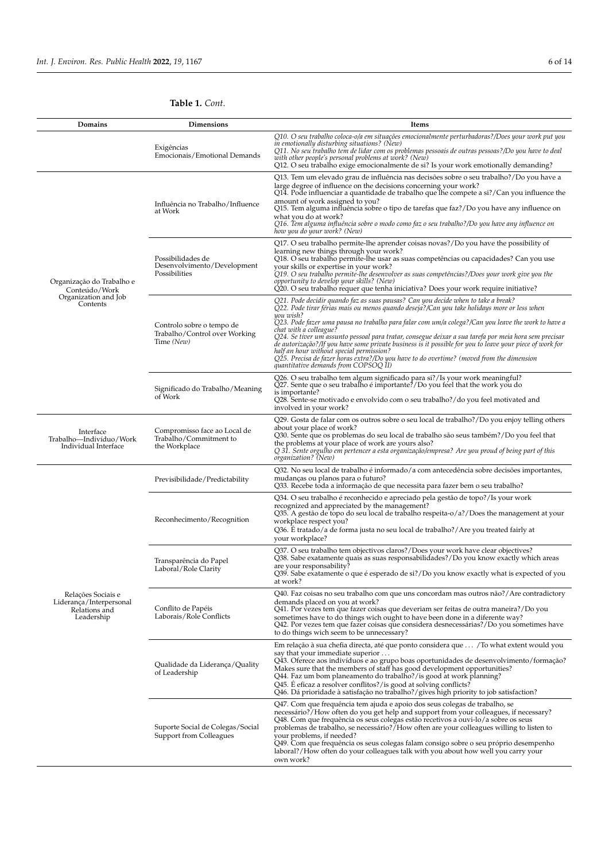# **Table 1.** *Cont.*

| Domains                                                                        | Dimensions                                                               | Items                                                                                                                                                                                                                                                                                                                                                                                                                                                                                                                                                                                                                                                                                                                                 |  |  |
|--------------------------------------------------------------------------------|--------------------------------------------------------------------------|---------------------------------------------------------------------------------------------------------------------------------------------------------------------------------------------------------------------------------------------------------------------------------------------------------------------------------------------------------------------------------------------------------------------------------------------------------------------------------------------------------------------------------------------------------------------------------------------------------------------------------------------------------------------------------------------------------------------------------------|--|--|
|                                                                                | Exigências<br>Emocionais/Emotional Demands                               | Q10. O seu trabalho coloca-o/a em situações emocionalmente perturbadoras?/Does your work put you<br>in emotionally disturbing situations? (New)<br>Q11. No seu trabalho tem de lidar com os problemas pessoais de outras pessoas?/Do you have to deal<br>with other people's personal problems at work? (New)<br>Q12. O seu trabalho exige emocionalmente de si? Is your work emotionally demanding?                                                                                                                                                                                                                                                                                                                                  |  |  |
| Organização do Trabalho e<br>Conteúdo/Work<br>Organization and Job<br>Contents | Influência no Trabalho/Influence<br>at Work                              | Q13. Tem um elevado grau de influência nas decisões sobre o seu trabalho?/Do you have a<br>large degree of influence on the decisions concerning your work?<br>Q14. Pode influenciar a quantidade de trabalho que lhe compete a si?/Can you influence the<br>amount of work assigned to you?<br>Q15. Tem alguma influência sobre o tipo de tarefas que faz?/Do you have any influence on<br>what you do at work?<br>Q16. Tem alguma influência sobre o modo como faz o seu trabalho?/Do you have any influence on<br>how you do your work? (New)                                                                                                                                                                                      |  |  |
|                                                                                | Possibilidades de<br>Desenvolvimento/Development<br>Possibilities        | Q17. O seu trabalho permite-lhe aprender coisas novas?/Do you have the possibility of<br>learning new things through your work?<br>Q18. O seu trabalho permite-lhe usar as suas competências ou capacidades? Can you use<br>your skills or expertise in your work?<br>Q19. O seu trabalho permite-lhe desenvolver as suas competências?/Does your work give you the<br>opportunity to develop your skills? (New)<br>Q20. O seu trabalho requer que tenha iniciativa? Does your work require initiative?                                                                                                                                                                                                                               |  |  |
|                                                                                | Controlo sobre o tempo de<br>Trabalho/Control over Working<br>Time (New) | Q21. Pode decidir quando faz as suas pausas? Can you decide when to take a break?<br>Q22. Pode tirar férias mais ou menos quando deseja?/Can you take holidays more or less when<br>you wish?<br>Q23. Pode fazer uma pausa no trabalho para falar com um/a colega?/Can you leave the work to have a<br>chat with a colleague?<br>Q24. Se tiver um assunto pessoal para tratar, consegue deixar a sua tarefa por meia hora sem precisar<br>de autorização?/If you have some private business is it possible for you to leave your piece of work for<br>half an hour without special permission?<br>$Q25$ . Precisa de fazer horas extra?/Do you have to do overtime? (moved from the dimension<br>quantitative demands from COPSOQ II) |  |  |
|                                                                                | Significado do Trabalho/Meaning<br>of Work                               | Q26. O seu trabalho tem algum significado para si?/Is your work meaningful?<br>Q27. Sente que o seu trabalho é importante?/Do you feel that the work you do<br>is importante?<br>Q28. Sente-se motivado e envolvido com o seu trabalho?/do you feel motivated and<br>involved in your work?                                                                                                                                                                                                                                                                                                                                                                                                                                           |  |  |
| Interface<br>Trabalho—Indivíduo/Work<br>Individual Interface                   | Compromisso face ao Local de<br>Trabalho/Commitment to<br>the Workplace  | Q29. Gosta de falar com os outros sobre o seu local de trabalho?/Do you enjoy telling others<br>about your place of work?<br>Q30. Sente que os problemas do seu local de trabalho são seus também?/Do you feel that<br>the problems at your place of work are yours also?<br>Q 31. Sente orgulho em pertencer a esta organização/empresa? Are you proud of being part of this<br>organization? (New)                                                                                                                                                                                                                                                                                                                                  |  |  |
|                                                                                | Previsibilidade/Predictability                                           | Q32. No seu local de trabalho é informado/a com antecedência sobre decisões importantes,<br>mudanças ou planos para o futuro?<br>Q33. Recebe toda a informação de que necessita para fazer bem o seu trabalho?                                                                                                                                                                                                                                                                                                                                                                                                                                                                                                                        |  |  |
|                                                                                | Reconhecimento/Recognition                                               | Q34. O seu trabalho é reconhecido e apreciado pela gestão de topo?/Is your work<br>recognized and appreciated by the management?<br>Q35. A gestão de topo do seu local de trabalho respeita-o/a?/Does the management at your<br>workplace respect you?<br>Q36. È tratado/a de forma justa no seu local de trabalho?/Are you treated fairly at<br>your workplace?                                                                                                                                                                                                                                                                                                                                                                      |  |  |
|                                                                                | Transparência do Papel<br>Laboral/Role Clarity                           | Q37. O seu trabalho tem objectivos claros?/Does your work have clear objectives?<br>Q38. Sabe exatamente quais as suas responsabilidades?/Do you know exactly which areas<br>are your responsability?<br>Q39. Sabe exatamente o que é esperado de si?/Do you know exactly what is expected of you<br>at work?                                                                                                                                                                                                                                                                                                                                                                                                                         |  |  |
| Relações Sociais e<br>Liderança/Interpersonal<br>Relations and<br>Leadership   | Conflito de Papéis<br>Laborais/Role Conflicts                            | Q40. Faz coisas no seu trabalho com que uns concordam mas outros não?/Are contradictory<br>demands placed on you at work?<br>Q41. Por vezes tem que fazer coisas que deveriam ser feitas de outra maneira?/Do you<br>sometimes have to do things wich ought to have been done in a diferente way?<br>Q42. Por vezes tem que fazer coisas que considera desnecessárias?/Do you sometimes have<br>to do things wich seem to be unnecessary?                                                                                                                                                                                                                                                                                             |  |  |
|                                                                                | Qualidade da Liderança/Quality<br>of Leadership                          | Em relação à sua chefia directa, até que ponto considera que  / To what extent would you<br>say that your immediate superior<br>Q43. Oferece aos indivíduos e ao grupo boas oportunidades de desenvolvimento/formação?<br>Makes sure that the members of staff has good development opportunities?<br>Q44. Faz um bom planeamento do trabalho?/is good at work planning?<br>Q45. E eficaz a resolver conflitos?/is good at solving conflicts?<br>Q46. Dá prioridade à satisfação no trabalho?/gives high priority to job satisfaction?                                                                                                                                                                                                |  |  |
|                                                                                | Suporte Social de Colegas/Social<br>Support from Colleagues              | Q47. Com que frequência tem ajuda e apoio dos seus colegas de trabalho, se<br>necessário?/How often do you get help and support from your colleagues, if necessary?<br>Q48. Com que frequência os seus colegas estão recetivos a ouvi-lo/a sobre os seus<br>problemas de trabalho, se necessário?/How often are your colleagues willing to listen to<br>your problems, if needed?<br>Q49. Com que frequência os seus colegas falam consigo sobre o seu próprio desempenho<br>laboral?/How often do your colleagues talk with you about how well you carry your<br>own work?                                                                                                                                                           |  |  |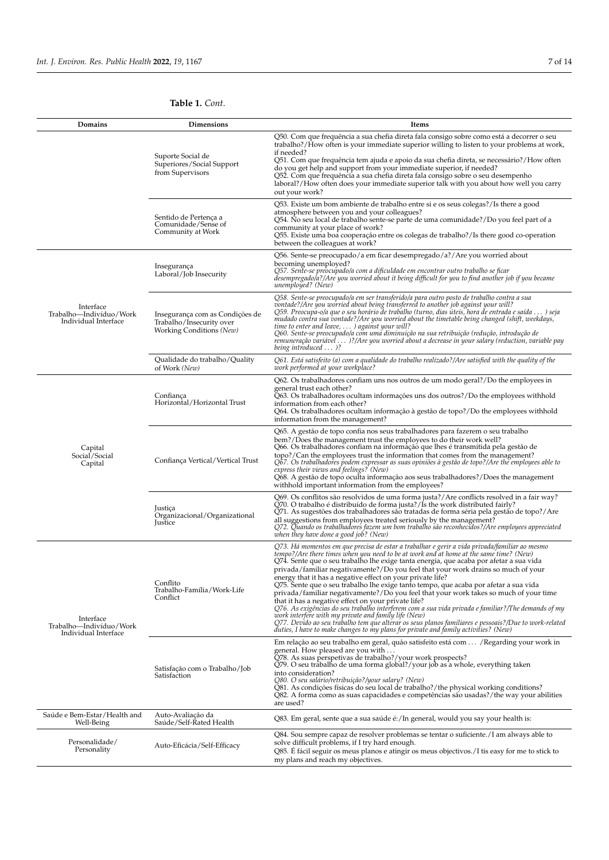# **Table 1.** *Cont.*

| Domains                                                      | Dimensions                                                                              | Items                                                                                                                                                                                                                                                                                                                                                                                                                                                                                                                                                                                                                                                                                                                                                                                                                                                                                                                                                                                                                                      |  |  |
|--------------------------------------------------------------|-----------------------------------------------------------------------------------------|--------------------------------------------------------------------------------------------------------------------------------------------------------------------------------------------------------------------------------------------------------------------------------------------------------------------------------------------------------------------------------------------------------------------------------------------------------------------------------------------------------------------------------------------------------------------------------------------------------------------------------------------------------------------------------------------------------------------------------------------------------------------------------------------------------------------------------------------------------------------------------------------------------------------------------------------------------------------------------------------------------------------------------------------|--|--|
|                                                              | Suporte Social de<br>Superiores/Social Support<br>from Supervisors                      | Q50. Com que frequência a sua chefia direta fala consigo sobre como está a decorrer o seu<br>trabalho?/How often is your immediate superior willing to listen to your problems at work,<br>if needed?<br>Q51. Com que frequência tem ajuda e apoio da sua chefia direta, se necessário?/How often<br>do you get help and support from your immediate superior, if needed?<br>Q52. Com que frequência a sua chefia direta fala consigo sobre o seu desempenho<br>laboral?/How often does your immediate superior talk with you about how well you carry<br>out your work?                                                                                                                                                                                                                                                                                                                                                                                                                                                                   |  |  |
|                                                              | Sentido de Pertença a<br>Comunidade/Sense of<br>Community at Work                       | Q53. Existe um bom ambiente de trabalho entre si e os seus colegas?/Is there a good<br>atmosphere between you and your colleagues?<br>Q54. No seu local de trabalho sente-se parte de uma comunidade?/Do you feel part of a<br>community at your place of work?<br>Q55. Existe uma boa cooperação entre os colegas de trabalho?/Is there good co-operation<br>between the colleagues at work?                                                                                                                                                                                                                                                                                                                                                                                                                                                                                                                                                                                                                                              |  |  |
|                                                              | Insegurança<br>Laboral/Job Insecurity                                                   | Q56. Sente-se preocupado/a em ficar desempregado/a?/Are you worried about<br>becoming unemployed?<br>Q57. Sente-se preocupado/a com a dificuldade em encontrar outro trabalho se ficar<br>desempregado/a?/Are you worried about it being difficult for you to find another job if you became<br>unemployed? (New)                                                                                                                                                                                                                                                                                                                                                                                                                                                                                                                                                                                                                                                                                                                          |  |  |
| Interface<br>Trabalho—Indivíduo/Work<br>Individual Interface | Insegurança com as Condições de<br>Trabalho/Insecurity over<br>Working Conditions (New) | Q58. Sente-se preocupado/a em ser transferido/a para outro posto de trabalho contra a sua<br>vontade?/Are you worried about being transferred to another job against your will?<br>Q59. Preocupa-o/a que o seu horário de trabalho (turno, dias úteis, hora de entrada e saída ) seja<br>mudado contra sua vontade?/Are you worried about the timetable being changed (shift, weekdays,<br>time to enter and leave, ) against your will?<br>Q60. Sente-se preocupado/a com uma diminuição na sua retribuição (redução, introdução de<br>remuneração variável )?/Are you worried about a decrease in your salary (reduction, variable pay<br>being introduced  )?                                                                                                                                                                                                                                                                                                                                                                           |  |  |
|                                                              | Qualidade do trabalho/Quality<br>of Work (New)                                          | Q61. Está satisfeito (a) com a qualidade do trabalho realizado?/Are satisfied with the quality of the<br>work performed at your workplace?                                                                                                                                                                                                                                                                                                                                                                                                                                                                                                                                                                                                                                                                                                                                                                                                                                                                                                 |  |  |
|                                                              | Confianca<br>Horizontal/Horizontal Trust                                                | Q62. Os trabalhadores confiam uns nos outros de um modo geral?/Do the employees in<br>general trust each other?<br>Q63. Os trabalhadores ocultam informações uns dos outros?/Do the employees withhold<br>information from each other?<br>Q64. Os trabalhadores ocultam informação à gestão de topo?/Do the employees withhold<br>information from the management?                                                                                                                                                                                                                                                                                                                                                                                                                                                                                                                                                                                                                                                                         |  |  |
| Capital<br>Social/Social<br>Capital                          | Confiança Vertical/Vertical Trust                                                       | Q65. A gestão de topo confia nos seus trabalhadores para fazerem o seu trabalho<br>bem?/Does the management trust the employees to do their work well?<br>Q66. Os trabalhadores confiam na informação que lhes é transmitida pela gestão de<br>topo?/Can the employees trust the information that comes from the management?<br>Q67. Os trabalhadores podem expressar as suas opiniões à gestão de topo?/Are the employees able to<br>express their views and feelings? (New)<br>Q68. A gestão de topo oculta informação aos seus trabalhadores?/Does the management<br>withhold important information from the employees?                                                                                                                                                                                                                                                                                                                                                                                                                 |  |  |
|                                                              | Justiça<br>Organizacional/Organizational<br>Justice                                     | Q69. Os conflitos são resolvidos de uma forma justa?/Are conflicts resolved in a fair way?<br>Q70. O trabalho é distribuído de forma justa?/Ís the work distributed fairly?<br>Q71. As sugestões dos trabalhadores são tratadas de forma séria pela gestão de topo?/Are<br>all suggestions from employees treated seriously by the management?<br>Q72. Quando os trabalhadores fazem um bom trabalho são reconhecidos?/Are employees appreciated<br>when they have done a good job? (New)                                                                                                                                                                                                                                                                                                                                                                                                                                                                                                                                                  |  |  |
| Interface<br>Trabalho-Indivíduo/Work<br>Individual Interface | Conflito<br>Trabalho-Família/Work-Life<br>Conflict                                      | Q73. Há momentos em que precisa de estar a trabalhar e gerir a vida privada/familiar ao mesmo<br>tempo?/Are there times when you need to be at work and at home at the same time? (New)<br>Q74. Sente que o seu trabalho lhe exige tanta energia, que acaba por afetar a sua vida<br>privada/familiar negativamente?/Do you feel that your work drains so much of your<br>energy that it has a negative effect on your private life?<br>Q75. Sente que o seu trabalho lhe exige tanto tempo, que acaba por afetar a sua vida<br>privada/familiar negativamente?/Do you feel that your work takes so much of your time<br>that it has a negative effect on your private life?<br>O76. As exigências do seu trabalho interferem com a sua vida privada e familiar?/The demands of my<br>work interfere with my private and family life (New)<br>Q77. Devido ao seu trabalho tem que alterar os seus planos familiares e pessoais?/Due to work-related<br>duties, I have to make changes to my plans for private and family activities? (New) |  |  |
|                                                              | Satisfação com o Trabalho/Job<br>Satisfaction                                           | Em relação ao seu trabalho em geral, quão satisfeito está com  / Regarding your work in<br>general. How pleased are you with<br>Q78. As suas perspetivas de trabalho?/your work prospects?<br>Q79. O seu trabalho de uma forma global?/your job as a whole, everything taken<br>into consideration?<br>Q80. O seu salário/retribuição?/your salary? (New)<br>Q81. As condições físicas do seu local de trabalho?/the physical working conditions?<br>Q82. A forma como as suas capacidades e competências são usadas?/the way your abilities<br>are used?                                                                                                                                                                                                                                                                                                                                                                                                                                                                                  |  |  |
| Saúde e Bem-Estar/Health and<br>Well-Being                   | Auto-Avaliação da<br>Saúde/Self-Rated Health                                            | Q83. Em geral, sente que a sua saúde é:/In general, would you say your health is:                                                                                                                                                                                                                                                                                                                                                                                                                                                                                                                                                                                                                                                                                                                                                                                                                                                                                                                                                          |  |  |
| Personalidade/<br>Personality                                | Auto-Eficácia/Self-Efficacy                                                             | Q84. Sou sempre capaz de resolver problemas se tentar o suficiente. <i>/I</i> am always able to<br>solve difficult problems, if I try hard enough.<br>Q85. È fácil seguir os meus planos e atingir os meus objectivos./I tis easy for me to stick to<br>my plans and reach my objectives.                                                                                                                                                                                                                                                                                                                                                                                                                                                                                                                                                                                                                                                                                                                                                  |  |  |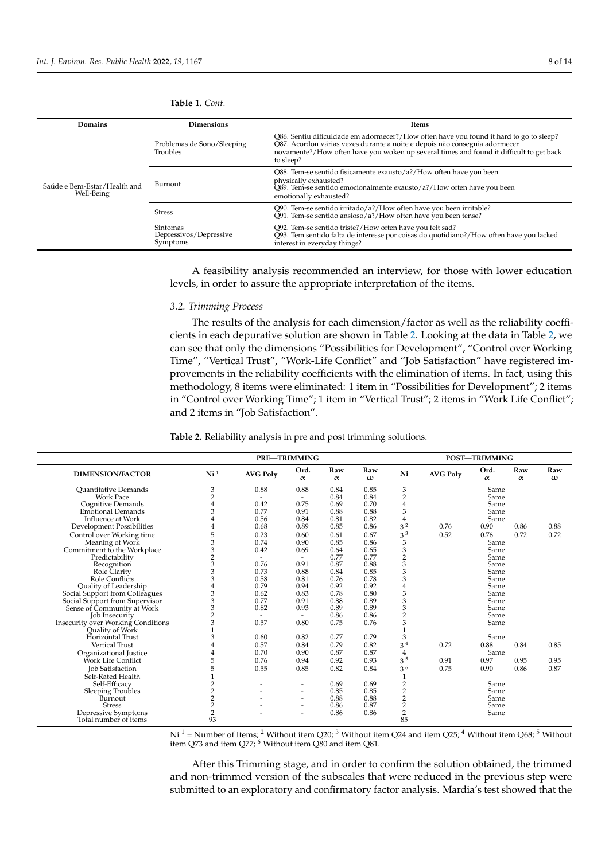| <b>Domains</b>                             | <b>Dimensions</b>                              | Items                                                                                                                                                                                                                                                                        |  |  |  |  |
|--------------------------------------------|------------------------------------------------|------------------------------------------------------------------------------------------------------------------------------------------------------------------------------------------------------------------------------------------------------------------------------|--|--|--|--|
| Saúde e Bem-Estar/Health and<br>Well-Being | Problemas de Sono/Sleeping<br>Troubles         | Q86. Sentiu dificuldade em adormecer?/How often have you found it hard to go to sleep?<br>Q87. Acordou várias vezes durante a noite e depois não conseguia adormecer<br>novamente?/How often have you woken up several times and found it difficult to get back<br>to sleep? |  |  |  |  |
|                                            | Burnout                                        | Q88. Tem-se sentido fisicamente exausto/a?/How often have you been<br>physically exhausted?<br>Q89. Tem-se sentido emocionalmente exausto/a?/How often have you been<br>emotionally exhausted?                                                                               |  |  |  |  |
|                                            | <b>Stress</b>                                  | Q90. Tem-se sentido irritado/a?/How often have you been irritable?<br>$\tilde{Q}$ 91. Tem-se sentido ansioso/a?/How often have you been tense?                                                                                                                               |  |  |  |  |
|                                            | Sintomas<br>Depressivos/Depressive<br>Symptoms | Q92. Tem-se sentido triste?/How often have you felt sad?<br>Q93. Tem sentido falta de interesse por coisas do quotidiano?/How often have you lacked<br>interest in everyday things?                                                                                          |  |  |  |  |

<span id="page-7-0"></span>**Table 1.** *Cont.*

A feasibility analysis recommended an interview, for those with lower education levels, in order to assure the appropriate interpretation of the items.

# *3.2. Trimming Process*

The results of the analysis for each dimension/factor as well as the reliability coefficients in each depurative solution are shown in Table [2.](#page-7-1) Looking at the data in Table [2,](#page-7-1) we can see that only the dimensions "Possibilities for Development", "Control over Working Time", "Vertical Trust", "Work-Life Conflict" and "Job Satisfaction" have registered improvements in the reliability coefficients with the elimination of items. In fact, using this methodology, 8 items were eliminated: 1 item in "Possibilities for Development"; 2 items in "Control over Working Time"; 1 item in "Vertical Trust"; 2 items in "Work Life Conflict"; and 2 items in "Job Satisfaction".

<span id="page-7-1"></span>**Table 2.** Reliability analysis in pre and post trimming solutions.

|                                           | <b>PRE-TRIMMING</b> |                 |                          |                 | POST-TRIMMING   |                         |                 |                  |                 |                 |
|-------------------------------------------|---------------------|-----------------|--------------------------|-----------------|-----------------|-------------------------|-----------------|------------------|-----------------|-----------------|
| <b>DIMENSION/FACTOR</b>                   | Ni <sup>1</sup>     | <b>AVG Poly</b> | Ord.<br>$\alpha$         | Raw<br>$\alpha$ | Raw<br>$\omega$ | Ni                      | <b>AVG Poly</b> | Ord.<br>$\alpha$ | Raw<br>$\alpha$ | Raw<br>$\omega$ |
| <b>Ouantitative Demands</b>               | 3                   | 0.88            | 0.88                     | 0.84            | 0.85            | 3                       |                 | Same             |                 |                 |
| <b>Work Pace</b>                          | $\overline{2}$      |                 | $\sim$                   | 0.84            | 0.84            | $\overline{c}$          |                 | Same             |                 |                 |
| Cognitive Demands                         | $\overline{4}$      | 0.42            | 0.75                     | 0.69            | 0.70            | $\overline{4}$          |                 | Same             |                 |                 |
| <b>Emotional Demands</b>                  | 3                   | 0.77            | 0.91                     | 0.88            | 0.88            | 3                       |                 | Same             |                 |                 |
| Influence at Work                         | 4                   | 0.56            | 0.84                     | 0.81            | 0.82            | 4                       |                 | Same             |                 |                 |
| Development Possibilities                 | 4                   | 0.68            | 0.89                     | 0.85            | 0.86            | 3 <sup>2</sup>          | 0.76            | 0.90             | 0.86            | 0.88            |
| Control over Working time                 | 5                   | 0.23            | 0.60                     | 0.61            | 0.67            | 3 <sup>3</sup>          | 0.52            | 0.76             | 0.72            | 0.72            |
| Meaning of Work                           | 3                   | 0.74            | 0.90                     | 0.85            | 0.86            | 3                       |                 | Same             |                 |                 |
| Commitment to the Workplace               | 3                   | 0.42            | 0.69                     | 0.64            | 0.65            | 3                       |                 | Same             |                 |                 |
| Predictability                            | $\overline{2}$      |                 | $\sim$                   | 0.77            | 0.77            | $\overline{c}$          |                 | Same             |                 |                 |
| Recognition                               | 3                   | 0.76            | 0.91                     | 0.87            | 0.88            | 3                       |                 | Same             |                 |                 |
| Role Clarity                              | 3                   | 0.73            | 0.88                     | 0.84            | 0.85            | 3                       |                 | Same             |                 |                 |
| Role Conflicts                            | 3                   | 0.58            | 0.81                     | 0.76            | 0.78            | 3                       |                 | Same             |                 |                 |
| <b>Ouality of Leadership</b>              | 4                   | 0.79            | 0.94                     | 0.92            | 0.92            |                         |                 | Same             |                 |                 |
| Social Support from Colleagues            | 3                   | 0.62            | 0.83                     | 0.78            | 0.80            | 3                       |                 | Same             |                 |                 |
| Social Support from Supervisor            | 3                   | 0.77            | 0.91                     | 0.88            | 0.89            | 3                       |                 | Same             |                 |                 |
| Sense of Community at Work                | 3                   | 0.82            | 0.93                     | 0.89            | 0.89            | 3                       |                 | Same             |                 |                 |
| <b>Job Insecurity</b>                     | $\overline{2}$      |                 | $\sim$                   | 0.86            | 0.86            | $\overline{c}$          |                 | Same             |                 |                 |
| <b>Insecurity over Working Conditions</b> | 3                   | 0.57            | 0.80                     | 0.75            | 0.76            | 3                       |                 | Same             |                 |                 |
| Quality of Work                           |                     |                 |                          |                 |                 |                         |                 |                  |                 |                 |
| Horizontal Trust                          | 3                   | 0.60            | 0.82                     | 0.77            | 0.79            | $\mathfrak z$           |                 | Same             |                 |                 |
| <b>Vertical Trust</b>                     | 4                   | 0.57            | 0.84                     | 0.79            | 0.82            | 3 <sup>4</sup>          | 0.72            | 0.88             | 0.84            | 0.85            |
| Organizational Justice                    | 4                   | 0.70            | 0.90                     | 0.87            | 0.87            | $\overline{4}$          |                 | Same             |                 |                 |
| Work Life Conflict                        | 5                   | 0.76            | 0.94                     | 0.92            | 0.93            | 3 <sup>5</sup>          | 0.91            | 0.97             | 0.95            | 0.95            |
| <b>Job Satisfaction</b>                   | 5                   | 0.55            | 0.85                     | 0.82            | 0.84            | $3^{6}$                 | 0.75            | 0.90             | 0.86            | 0.87            |
| Self-Rated Health                         |                     |                 |                          |                 |                 |                         |                 |                  |                 |                 |
| Self-Efficacy                             | $\overline{2}$      |                 | $\overline{\phantom{a}}$ | 0.69            | 0.69            | $\overline{2}$          |                 | Same             |                 |                 |
| Sleeping Troubles                         | $\overline{c}$      |                 | $\overline{\phantom{a}}$ | 0.85            | 0.85            | $\overline{2}$          |                 | Same             |                 |                 |
| Burnout                                   | $\overline{c}$      |                 |                          | 0.88            | 0.88            | $\overline{\mathbf{c}}$ |                 | Same             |                 |                 |
| <b>Stress</b>                             | $\overline{2}$      |                 | ٠                        | 0.86            | 0.87            | $\overline{2}$          |                 | Same             |                 |                 |
| Depressive Symptoms                       | $\overline{2}$      |                 |                          | 0.86            | 0.86            | $\overline{c}$          |                 | Same             |                 |                 |
| Total number of items                     | 93                  |                 |                          |                 |                 | 85                      |                 |                  |                 |                 |

Ni <sup>1</sup> = Number of Items; <sup>2</sup> Without item Q20; <sup>3</sup> Without item Q24 and item Q25; <sup>4</sup> Without item Q68; <sup>5</sup> Without item Q73 and item Q77; <sup>6</sup> Without item Q80 and item Q81.

After this Trimming stage, and in order to confirm the solution obtained, the trimmed and non-trimmed version of the subscales that were reduced in the previous step were submitted to an exploratory and confirmatory factor analysis. Mardia's test showed that the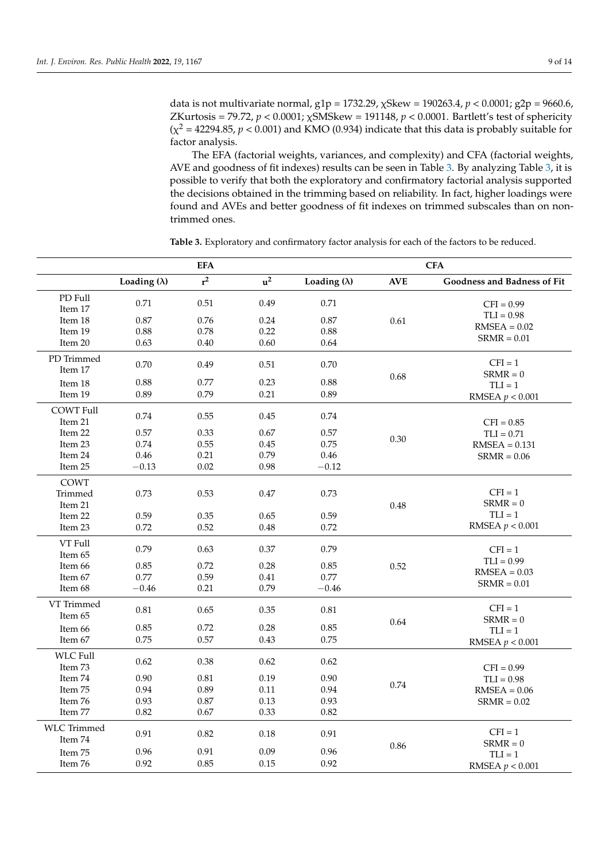data is not multivariate normal, g1p = 1732.29, χSkew = 190263.4, *p* < 0.0001; g2p = 9660.6, ZKurtosis = 79.72, *p* < 0.0001; χSMSkew = 191148, *p* < 0.0001. Bartlett's test of sphericity  $(\chi^2 = 42294.85, p < 0.001)$  and KMO (0.934) indicate that this data is probably suitable for factor analysis.

The EFA (factorial weights, variances, and complexity) and CFA (factorial weights, AVE and goodness of fit indexes) results can be seen in Table [3.](#page-9-0) By analyzing Table [3,](#page-9-0) it is possible to verify that both the exploratory and confirmatory factorial analysis supported the decisions obtained in the trimming based on reliability. In fact, higher loadings were found and AVEs and better goodness of fit indexes on trimmed subscales than on nontrimmed ones.

**EFA** CFA **Loading** ( $λ$ ) **r**<sup>2</sup> **<sup>2</sup> u <sup>2</sup> Loading (**λ**) AVE Goodness and Badness of Fit** PD Full 12 1 and 17 0.71 0.51 0.49 0.71 0.61  $CFI = 0.99$  $TLI = 0.98$  $RMSEA = 0.02$  $SRMR = 0.01$ Item 18 0.87 0.76 0.24 0.87 Item 19 0.88 0.78 0.22 0.88 Item 20 0.63 0.40 0.60 0.64 PD Trimmed 1.1.1.1.1.1.2. 0.70 0.49 0.51 0.70 0.68  $CFI = 1$  $SRMR = 0$  $TLI = 1$ RMSEA *p* < 0.001 Item 18 0.88 0.77 0.23 0.88 Item 19 0.89 0.79 0.21 0.89 COWT Full 1 1 0.74 0.55 0.45 0.74 0.30  $CFI = 0.85$  $TLI = 0.71$  $RMSEA = 0.131$  $SRMR = 0.06$ Item 22 0.57 0.33 0.67 0.57 Item 23 0.74 0.55 0.45 0.75 Item 24 0.46 0.21 0.79 0.46  $Item 25 \t -0.13 \t 0.02 \t 0.98 \t -0.12$ COWT Trimmed Item 21 0.73 0.53 0.47 0.73 0.48  $CFI = 1$  $SRMR = 0$  $TLI = 1$ RMSEA *p* < 0.001 Item 22 0.59 0.35 0.65 0.59 Item 23 0.72 0.52 0.48 0.72 VT Full<br>Item 65 Item 65 0.79 0.63 0.37 0.79 0.52  $CFI = 1$  $TLI = 0.99$  $RMSEA = 0.03$ SRMR = 0.01 Item 66 0.85 0.72 0.28 0.85 Item 67 0.77 0.59 0.41 0.77  $Item 68 \t -0.46 \t 0.21 \t 0.79 \t -0.46$ VT Trimmed 1.1.1.1.1.1.2. 0.81 0.65 0.35 0.81 0.64  $CFI = 1$  $SRMR = 0$  $TLI = 1$ RMSEA *p* < 0.001 Item 66 0.85 0.72 0.28 0.85 Item 67 0.75 0.57 0.43 0.75 WLC Full Item 73 0.62 0.38 0.62 0.62 0.74  $CFI = 0.99$  $TLI = 0.98$  $RMSEA = 0.06$  $SRMR = 0.02$ Item 74 0.90 0.81 0.19 0.90 Item 75 0.94 0.89 0.11 0.94 Item 76 0.93 0.87 0.13 0.93 Item 77 0.82 0.67 0.33 0.82 WLC Trimmed Item 74 0.91 0.82 0.18 0.91 0.86  $CFI = 1$  $SRMR = 0$  $TLI = 1$ RMSEA *p* < 0.001 Item 75 0.96 0.91 0.09 0.96 Item 76 0.92 0.85 0.15 0.92

**Table 3.** Exploratory and confirmatory factor analysis for each of the factors to be reduced.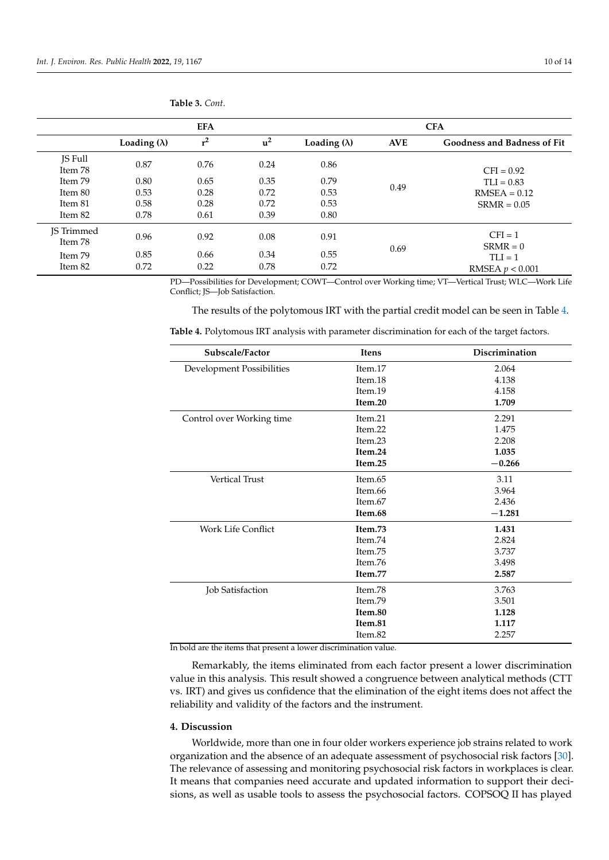| <b>EFA</b>            |                     |       | <b>CFA</b> |                     |            |                                    |
|-----------------------|---------------------|-------|------------|---------------------|------------|------------------------------------|
|                       | Loading $(\lambda)$ | $r^2$ | $u^2$      | Loading $(\lambda)$ | <b>AVE</b> | <b>Goodness and Badness of Fit</b> |
| JS Full<br>Item 78    | 0.87                | 0.76  | 0.24       | 0.86                |            | $CFI = 0.92$                       |
| Item 79               | 0.80                | 0.65  | 0.35       | 0.79                |            | $TLI = 0.83$                       |
| Item 80               | 0.53                | 0.28  | 0.72       | 0.53                | 0.49       | $RMSEA = 0.12$                     |
| Item 81               | 0.58                | 0.28  | 0.72       | 0.53                |            | $SRMR = 0.05$                      |
| Item 82               | 0.78                | 0.61  | 0.39       | 0.80                |            |                                    |
| JS Trimmed<br>Item 78 | 0.96                | 0.92  | 0.08       | 0.91                |            | $CFI = 1$<br>$SRMR = 0$            |
| Item 79               | 0.85                | 0.66  | 0.34       | 0.55                | 0.69       | $TLI = 1$                          |
| Item 82               | 0.72                | 0.22  | 0.78       | 0.72                |            | RMSEA $p < 0.001$                  |

<span id="page-9-0"></span>**Table 3.** *Cont.*

PD—Possibilities for Development; COWT—Control over Working time; VT—Vertical Trust; WLC—Work Life Conflict; JS—Job Satisfaction.

The results of the polytomous IRT with the partial credit model can be seen in Table [4.](#page-9-1)

<span id="page-9-1"></span>**Table 4.** Polytomous IRT analysis with parameter discrimination for each of the target factors.

| Subscale/Factor           | <b>Itens</b> | Discrimination |
|---------------------------|--------------|----------------|
| Development Possibilities | Item.17      | 2.064          |
|                           | Item.18      | 4.138          |
|                           | Item.19      | 4.158          |
|                           | Item.20      | 1.709          |
| Control over Working time | Item.21      | 2.291          |
|                           | Item.22      | 1.475          |
|                           | Item.23      | 2.208          |
|                           | Item.24      | 1.035          |
|                           | Item.25      | $-0.266$       |
| <b>Vertical Trust</b>     | Item.65      | 3.11           |
|                           | Item.66      | 3.964          |
|                           | Item.67      | 2.436          |
|                           | Item.68      | $-1.281$       |
| Work Life Conflict        | Item.73      | 1.431          |
|                           | Item.74      | 2.824          |
|                           | Item.75      | 3.737          |
|                           | Item.76      | 3.498          |
|                           | Item.77      | 2.587          |
| Job Satisfaction          | Item.78      | 3.763          |
|                           | Item.79      | 3.501          |
|                           | Item.80      | 1.128          |
|                           | Item.81      | 1.117          |
|                           | Item.82      | 2.257          |

In bold are the items that present a lower discrimination value.

Remarkably, the items eliminated from each factor present a lower discrimination value in this analysis. This result showed a congruence between analytical methods (CTT vs. IRT) and gives us confidence that the elimination of the eight items does not affect the reliability and validity of the factors and the instrument.

#### **4. Discussion**

Worldwide, more than one in four older workers experience job strains related to work organization and the absence of an adequate assessment of psychosocial risk factors [\[30\]](#page-13-6). The relevance of assessing and monitoring psychosocial risk factors in workplaces is clear. It means that companies need accurate and updated information to support their decisions, as well as usable tools to assess the psychosocial factors. COPSOQ II has played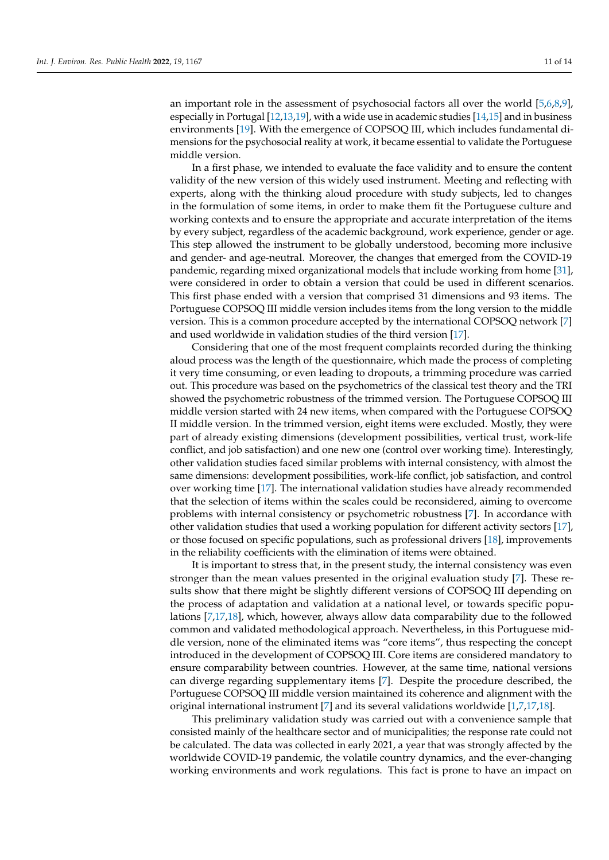an important role in the assessment of psychosocial factors all over the world [\[5,](#page-12-2)[6,](#page-12-3)[8,](#page-12-17)[9\]](#page-12-18), especially in Portugal [\[12,](#page-12-6)[13,](#page-12-7)[19\]](#page-12-12), with a wide use in academic studies [\[14](#page-12-8)[,15\]](#page-12-19) and in business environments [\[19\]](#page-12-12). With the emergence of COPSOQ III, which includes fundamental dimensions for the psychosocial reality at work, it became essential to validate the Portuguese middle version.

In a first phase, we intended to evaluate the face validity and to ensure the content validity of the new version of this widely used instrument. Meeting and reflecting with experts, along with the thinking aloud procedure with study subjects, led to changes in the formulation of some items, in order to make them fit the Portuguese culture and working contexts and to ensure the appropriate and accurate interpretation of the items by every subject, regardless of the academic background, work experience, gender or age. This step allowed the instrument to be globally understood, becoming more inclusive and gender- and age-neutral. Moreover, the changes that emerged from the COVID-19 pandemic, regarding mixed organizational models that include working from home [\[31\]](#page-13-7), were considered in order to obtain a version that could be used in different scenarios. This first phase ended with a version that comprised 31 dimensions and 93 items. The Portuguese COPSOQ III middle version includes items from the long version to the middle version. This is a common procedure accepted by the international COPSOQ network [\[7\]](#page-12-4) and used worldwide in validation studies of the third version [\[17\]](#page-12-10).

Considering that one of the most frequent complaints recorded during the thinking aloud process was the length of the questionnaire, which made the process of completing it very time consuming, or even leading to dropouts, a trimming procedure was carried out. This procedure was based on the psychometrics of the classical test theory and the TRI showed the psychometric robustness of the trimmed version. The Portuguese COPSOQ III middle version started with 24 new items, when compared with the Portuguese COPSOQ II middle version. In the trimmed version, eight items were excluded. Mostly, they were part of already existing dimensions (development possibilities, vertical trust, work-life conflict, and job satisfaction) and one new one (control over working time). Interestingly, other validation studies faced similar problems with internal consistency, with almost the same dimensions: development possibilities, work-life conflict, job satisfaction, and control over working time [\[17\]](#page-12-10). The international validation studies have already recommended that the selection of items within the scales could be reconsidered, aiming to overcome problems with internal consistency or psychometric robustness [\[7\]](#page-12-4). In accordance with other validation studies that used a working population for different activity sectors [\[17\]](#page-12-10), or those focused on specific populations, such as professional drivers [\[18\]](#page-12-11), improvements in the reliability coefficients with the elimination of items were obtained.

It is important to stress that, in the present study, the internal consistency was even stronger than the mean values presented in the original evaluation study [\[7\]](#page-12-4). These results show that there might be slightly different versions of COPSOQ III depending on the process of adaptation and validation at a national level, or towards specific populations [\[7,](#page-12-4)[17,](#page-12-10)[18\]](#page-12-11), which, however, always allow data comparability due to the followed common and validated methodological approach. Nevertheless, in this Portuguese middle version, none of the eliminated items was "core items", thus respecting the concept introduced in the development of COPSOQ III. Core items are considered mandatory to ensure comparability between countries. However, at the same time, national versions can diverge regarding supplementary items [\[7\]](#page-12-4). Despite the procedure described, the Portuguese COPSOQ III middle version maintained its coherence and alignment with the original international instrument [\[7\]](#page-12-4) and its several validations worldwide [\[1,](#page-12-0)[7,](#page-12-4)[17,](#page-12-10)[18\]](#page-12-11).

This preliminary validation study was carried out with a convenience sample that consisted mainly of the healthcare sector and of municipalities; the response rate could not be calculated. The data was collected in early 2021, a year that was strongly affected by the worldwide COVID-19 pandemic, the volatile country dynamics, and the ever-changing working environments and work regulations. This fact is prone to have an impact on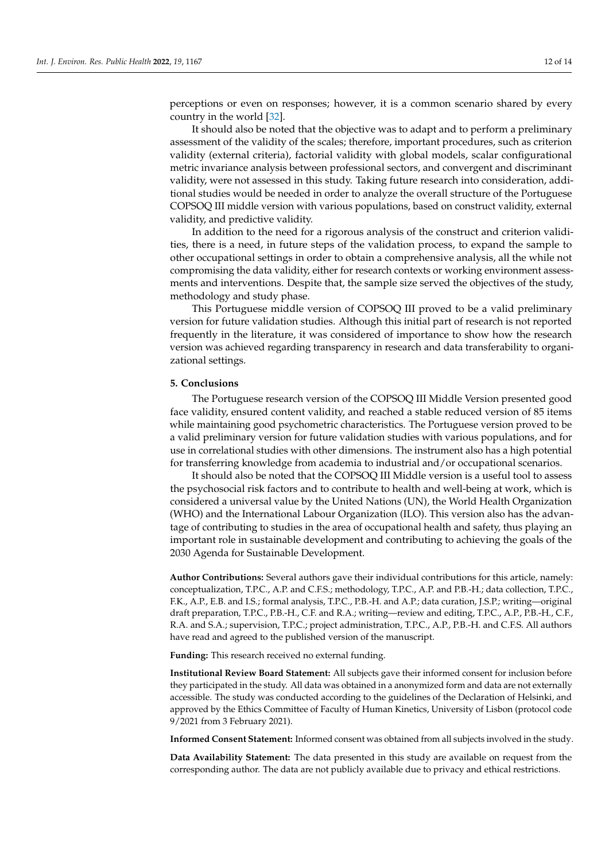perceptions or even on responses; however, it is a common scenario shared by every country in the world [\[32\]](#page-13-8).

It should also be noted that the objective was to adapt and to perform a preliminary assessment of the validity of the scales; therefore, important procedures, such as criterion validity (external criteria), factorial validity with global models, scalar configurational metric invariance analysis between professional sectors, and convergent and discriminant validity, were not assessed in this study. Taking future research into consideration, additional studies would be needed in order to analyze the overall structure of the Portuguese COPSOQ III middle version with various populations, based on construct validity, external validity, and predictive validity.

In addition to the need for a rigorous analysis of the construct and criterion validities, there is a need, in future steps of the validation process, to expand the sample to other occupational settings in order to obtain a comprehensive analysis, all the while not compromising the data validity, either for research contexts or working environment assessments and interventions. Despite that, the sample size served the objectives of the study, methodology and study phase.

This Portuguese middle version of COPSOQ III proved to be a valid preliminary version for future validation studies. Although this initial part of research is not reported frequently in the literature, it was considered of importance to show how the research version was achieved regarding transparency in research and data transferability to organizational settings.

## **5. Conclusions**

The Portuguese research version of the COPSOQ III Middle Version presented good face validity, ensured content validity, and reached a stable reduced version of 85 items while maintaining good psychometric characteristics. The Portuguese version proved to be a valid preliminary version for future validation studies with various populations, and for use in correlational studies with other dimensions. The instrument also has a high potential for transferring knowledge from academia to industrial and/or occupational scenarios.

It should also be noted that the COPSOQ III Middle version is a useful tool to assess the psychosocial risk factors and to contribute to health and well-being at work, which is considered a universal value by the United Nations (UN), the World Health Organization (WHO) and the International Labour Organization (ILO). This version also has the advantage of contributing to studies in the area of occupational health and safety, thus playing an important role in sustainable development and contributing to achieving the goals of the 2030 Agenda for Sustainable Development.

**Author Contributions:** Several authors gave their individual contributions for this article, namely: conceptualization, T.P.C., A.P. and C.F.S.; methodology, T.P.C., A.P. and P.B.-H.; data collection, T.P.C., F.K., A.P., E.B. and I.S.; formal analysis, T.P.C., P.B.-H. and A.P.; data curation, J.S.P.; writing—original draft preparation, T.P.C., P.B.-H., C.F. and R.A.; writing—review and editing, T.P.C., A.P., P.B.-H., C.F., R.A. and S.A.; supervision, T.P.C.; project administration, T.P.C., A.P., P.B.-H. and C.F.S. All authors have read and agreed to the published version of the manuscript.

**Funding:** This research received no external funding.

**Institutional Review Board Statement:** All subjects gave their informed consent for inclusion before they participated in the study. All data was obtained in a anonymized form and data are not externally accessible. The study was conducted according to the guidelines of the Declaration of Helsinki, and approved by the Ethics Committee of Faculty of Human Kinetics, University of Lisbon (protocol code 9/2021 from 3 February 2021).

**Informed Consent Statement:** Informed consent was obtained from all subjects involved in the study.

**Data Availability Statement:** The data presented in this study are available on request from the corresponding author. The data are not publicly available due to privacy and ethical restrictions.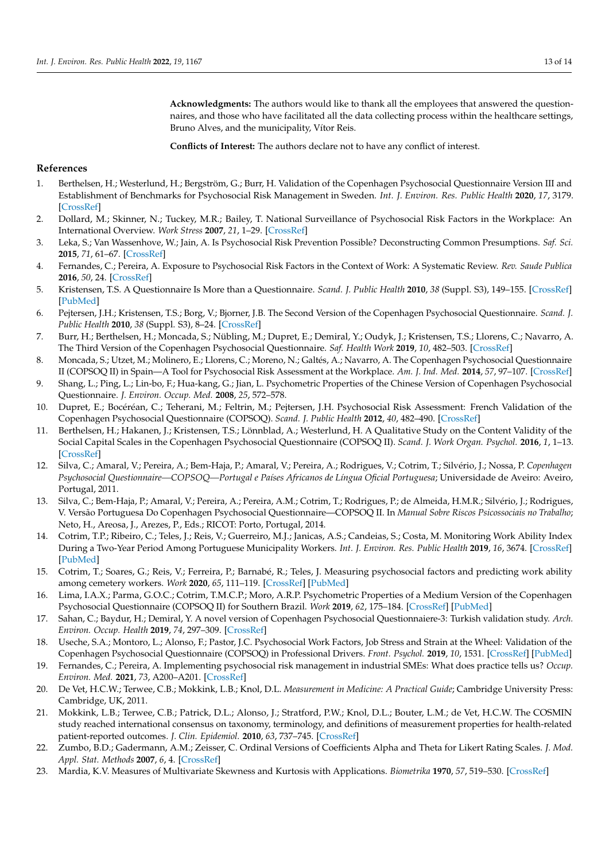**Acknowledgments:** The authors would like to thank all the employees that answered the questionnaires, and those who have facilitated all the data collecting process within the healthcare settings, Bruno Alves, and the municipality, Vítor Reis.

**Conflicts of Interest:** The authors declare not to have any conflict of interest.

# **References**

- <span id="page-12-0"></span>1. Berthelsen, H.; Westerlund, H.; Bergström, G.; Burr, H. Validation of the Copenhagen Psychosocial Questionnaire Version III and Establishment of Benchmarks for Psychosocial Risk Management in Sweden. *Int. J. Environ. Res. Public Health* **2020**, *17*, 3179. [\[CrossRef\]](http://doi.org/10.3390/ijerph17093179)
- 2. Dollard, M.; Skinner, N.; Tuckey, M.R.; Bailey, T. National Surveillance of Psychosocial Risk Factors in the Workplace: An International Overview. *Work Stress* **2007**, *21*, 1–29. [\[CrossRef\]](http://doi.org/10.1080/02678370701254082)
- 3. Leka, S.; Van Wassenhove, W.; Jain, A. Is Psychosocial Risk Prevention Possible? Deconstructing Common Presumptions. *Saf. Sci.* **2015**, *71*, 61–67. [\[CrossRef\]](http://doi.org/10.1016/j.ssci.2014.03.014)
- <span id="page-12-1"></span>4. Fernandes, C.; Pereira, A. Exposure to Psychosocial Risk Factors in the Context of Work: A Systematic Review. *Rev. Saude Publica* **2016**, *50*, 24. [\[CrossRef\]](http://doi.org/10.1590/S1518-8787.2016050006129)
- <span id="page-12-2"></span>5. Kristensen, T.S. A Questionnaire Is More than a Questionnaire. *Scand. J. Public Health* **2010**, *38* (Suppl. S3), 149–155. [\[CrossRef\]](http://doi.org/10.1177/1403494809354437) [\[PubMed\]](http://www.ncbi.nlm.nih.gov/pubmed/21172780)
- <span id="page-12-3"></span>6. Pejtersen, J.H.; Kristensen, T.S.; Borg, V.; Bjorner, J.B. The Second Version of the Copenhagen Psychosocial Questionnaire. *Scand. J. Public Health* **2010**, *38* (Suppl. S3), 8–24. [\[CrossRef\]](http://doi.org/10.1177/1403494809349858)
- <span id="page-12-4"></span>7. Burr, H.; Berthelsen, H.; Moncada, S.; Nübling, M.; Dupret, E.; Demiral, Y.; Oudyk, J.; Kristensen, T.S.; Llorens, C.; Navarro, A. The Third Version of the Copenhagen Psychosocial Questionnaire. *Saf. Health Work* **2019**, *10*, 482–503. [\[CrossRef\]](http://doi.org/10.1016/j.shaw.2019.10.002)
- <span id="page-12-17"></span>8. Moncada, S.; Utzet, M.; Molinero, E.; Llorens, C.; Moreno, N.; Galtés, A.; Navarro, A. The Copenhagen Psychosocial Questionnaire II (COPSOQ II) in Spain—A Tool for Psychosocial Risk Assessment at the Workplace. *Am. J. Ind. Med.* **2014**, *57*, 97–107. [\[CrossRef\]](http://doi.org/10.1002/ajim.22238)
- <span id="page-12-18"></span>9. Shang, L.; Ping, L.; Lin-bo, F.; Hua-kang, G.; Jian, L. Psychometric Properties of the Chinese Version of Copenhagen Psychosocial Questionnaire. *J. Environ. Occup. Med.* **2008**, *25*, 572–578.
- 10. Dupret, E.; Bocéréan, C.; Teherani, M.; Feltrin, M.; Pejtersen, J.H. Psychosocial Risk Assessment: French Validation of the Copenhagen Psychosocial Questionnaire (COPSOQ). *Scand. J. Public Health* **2012**, *40*, 482–490. [\[CrossRef\]](http://doi.org/10.1177/1403494812453888)
- <span id="page-12-5"></span>11. Berthelsen, H.; Hakanen, J.; Kristensen, T.S.; Lönnblad, A.; Westerlund, H. A Qualitative Study on the Content Validity of the Social Capital Scales in the Copenhagen Psychosocial Questionnaire (COPSOQ II). *Scand. J. Work Organ. Psychol.* **2016**, *1*, 1–13. [\[CrossRef\]](http://doi.org/10.16993/sjwop.5)
- <span id="page-12-6"></span>12. Silva, C.; Amaral, V.; Pereira, A.; Bem-Haja, P.; Amaral, V.; Pereira, A.; Rodrigues, V.; Cotrim, T.; Silvério, J.; Nossa, P. *Copenhagen Psychosocial Questionnaire—COPSOQ—Portugal e Países Africanos de Língua Oficial Portuguesa*; Universidade de Aveiro: Aveiro, Portugal, 2011.
- <span id="page-12-7"></span>13. Silva, C.; Bem-Haja, P.; Amaral, V.; Pereira, A.; Pereira, A.M.; Cotrim, T.; Rodrigues, P.; de Almeida, H.M.R.; Silvério, J.; Rodrigues, V. Versão Portuguesa Do Copenhagen Psychosocial Questionnaire—COPSOQ II. In *Manual Sobre Riscos Psicossociais no Trabalho*; Neto, H., Areosa, J., Arezes, P., Eds.; RICOT: Porto, Portugal, 2014.
- <span id="page-12-8"></span>14. Cotrim, T.P.; Ribeiro, C.; Teles, J.; Reis, V.; Guerreiro, M.J.; Janicas, A.S.; Candeias, S.; Costa, M. Monitoring Work Ability Index During a Two-Year Period Among Portuguese Municipality Workers. *Int. J. Environ. Res. Public Health* **2019**, *16*, 3674. [\[CrossRef\]](http://doi.org/10.3390/ijerph16193674) [\[PubMed\]](http://www.ncbi.nlm.nih.gov/pubmed/31574922)
- <span id="page-12-19"></span>15. Cotrim, T.; Soares, G.; Reis, V.; Ferreira, P.; Barnabé, R.; Teles, J. Measuring psychosocial factors and predicting work ability among cemetery workers. *Work* **2020**, *65*, 111–119. [\[CrossRef\]](http://doi.org/10.3233/WOR-193063) [\[PubMed\]](http://www.ncbi.nlm.nih.gov/pubmed/31868717)
- <span id="page-12-9"></span>16. Lima, I.A.X.; Parma, G.O.C.; Cotrim, T.M.C.P.; Moro, A.R.P. Psychometric Properties of a Medium Version of the Copenhagen Psychosocial Questionnaire (COPSOQ II) for Southern Brazil. *Work* **2019**, *62*, 175–184. [\[CrossRef\]](http://doi.org/10.3233/WOR-192853) [\[PubMed\]](http://www.ncbi.nlm.nih.gov/pubmed/30829629)
- <span id="page-12-10"></span>17. Sahan, C.; Baydur, H.; Demiral, Y. A novel version of Copenhagen Psychosocial Questionnaiere-3: Turkish validation study. *Arch. Environ. Occup. Health* **2019**, *74*, 297–309. [\[CrossRef\]](http://doi.org/10.1080/19338244.2018.1538095)
- <span id="page-12-11"></span>18. Useche, S.A.; Montoro, L.; Alonso, F.; Pastor, J.C. Psychosocial Work Factors, Job Stress and Strain at the Wheel: Validation of the Copenhagen Psychosocial Questionnaire (COPSOQ) in Professional Drivers. *Front. Psychol.* **2019**, *10*, 1531. [\[CrossRef\]](http://doi.org/10.3389/fpsyg.2019.01531) [\[PubMed\]](http://www.ncbi.nlm.nih.gov/pubmed/31312166)
- <span id="page-12-12"></span>19. Fernandes, C.; Pereira, A. Implementing psychosocial risk management in industrial SMEs: What does practice tells us? *Occup. Environ. Med.* **2021**, *73*, A200–A201. [\[CrossRef\]](http://doi.org/10.1136/oemed-2016-103951.553)
- <span id="page-12-13"></span>20. De Vet, H.C.W.; Terwee, C.B.; Mokkink, L.B.; Knol, D.L. *Measurement in Medicine: A Practical Guide*; Cambridge University Press: Cambridge, UK, 2011.
- <span id="page-12-14"></span>21. Mokkink, L.B.; Terwee, C.B.; Patrick, D.L.; Alonso, J.; Stratford, P.W.; Knol, D.L.; Bouter, L.M.; de Vet, H.C.W. The COSMIN study reached international consensus on taxonomy, terminology, and definitions of measurement properties for health-related patient-reported outcomes. *J. Clin. Epidemiol.* **2010**, *63*, 737–745. [\[CrossRef\]](http://doi.org/10.1016/j.jclinepi.2010.02.006)
- <span id="page-12-15"></span>22. Zumbo, B.D.; Gadermann, A.M.; Zeisser, C. Ordinal Versions of Coefficients Alpha and Theta for Likert Rating Scales. *J. Mod. Appl. Stat. Methods* **2007**, *6*, 4. [\[CrossRef\]](http://doi.org/10.22237/jmasm/1177992180)
- <span id="page-12-16"></span>23. Mardia, K.V. Measures of Multivariate Skewness and Kurtosis with Applications. *Biometrika* **1970**, *57*, 519–530. [\[CrossRef\]](http://doi.org/10.1093/biomet/57.3.519)